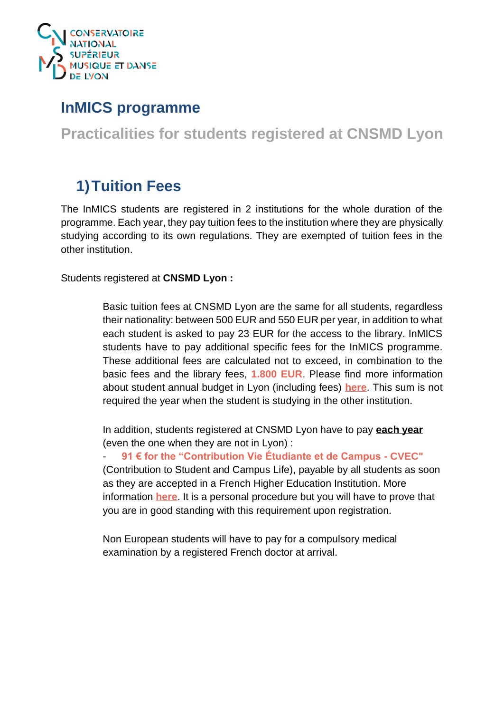

### **InMICS programme**

**Practicalities for students registered at CNSMD Lyon**

# **1)Tuition Fees**

The InMICS students are registered in 2 institutions for the whole duration of the programme. Each year, they pay tuition fees to the institution where they are physically studying according to its own regulations. They are exempted of tuition fees in the other institution.

Students registered at **CNSMD Lyon :**

Basic tuition fees at CNSMD Lyon are the same for all students, regardless their nationality: between 500 EUR and 550 EUR per year, in addition to what each student is asked to pay 23 EUR for the access to the library. InMICS students have to pay additional specific fees for the InMICS programme. These additional fees are calculated not to exceed, in combination to the basic fees and the library fees, **1.800 EUR**. Please find more information about student annual budget in Lyon (including fees) **[here](http://www.cnsmd-lyon.fr/en-2/students/students-annual-budget)**. This sum is not required the year when the student is studying in the other institution.

In addition, students registered at CNSMD Lyon have to pay **each year** (even the one when they are not in Lyon) :

- **91 € for the "Contribution Vie Étudiante et de Campus - CVEC"**  (Contribution to Student and Campus Life), payable by all students as soon as they are accepted in a French Higher Education Institution. More information **[here](https://www.campusfrance.org/en/10-things-you-need-to-know-about-the-new-student-and-campus-life-contribution-cvec-0)**. It is a personal procedure but you will have to prove that you are in good standing with this requirement upon registration.

Non European students will have to pay for a compulsory medical examination by a registered French doctor at arrival.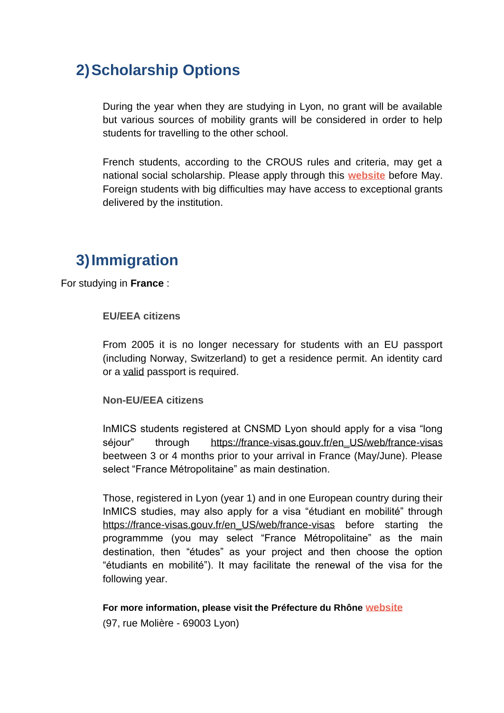## **2)Scholarship Options**

During the year when they are studying in Lyon, no grant will be available but various sources of mobility grants will be considered in order to help students for travelling to the other school.

French students, according to the CROUS rules and criteria, may get a national social scholarship. Please apply through this **[website](https://www.messervices.etudiant.gouv.fr/envole/)** before May. Foreign students with big difficulties may have access to exceptional grants delivered by the institution.

### **3)Immigration**

For studying in **France** :

#### **EU/EEA citizens**

From 2005 it is no longer necessary for students with an EU passport (including Norway, Switzerland) to get a residence permit. An identity card or a valid passport is required.

#### **Non-EU/EEA citizens**

InMICS students registered at CNSMD Lyon should apply for a visa "long séjour" through [https://france-visas.gouv.fr/en\\_US/web/france-visas](https://france-visas.gouv.fr/en_US/web/france-visas) beetween 3 or 4 months prior to your arrival in France (May/June). Please select "France Métropolitaine" as main destination.

Those, registered in Lyon (year 1) and in one European country during their InMICS studies, may also apply for a visa "étudiant en mobilité" through [https://france-visas.gouv.fr/en\\_US/web/france-visas](https://france-visas.gouv.fr/en_US/web/france-visas) before starting the programmme (you may select "France Métropolitaine" as the main destination, then "études" as your project and then choose the option "étudiants en mobilité"). It may facilitate the renewal of the visa for the following year.

**For more information, please visit the Préfecture du Rhône website**

([97, rue Molière -](https://maps.google.fr/maps?q=97+Rue+Moli%C3%A8re,+Lyon&hl=fr&ie=UTF8&sll=45.764814,4.841752&sspn=0.00723,0.013797&vpsrc=0&t=m&z=16&iwloc=A) 69003 Lyon)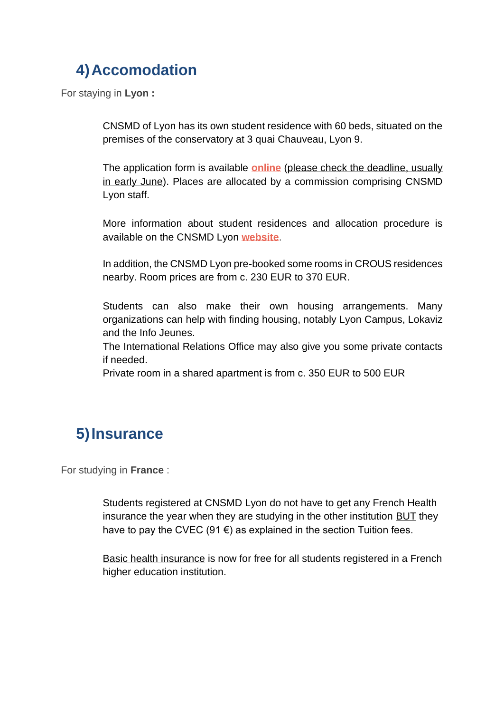# **4)Accomodation**

For staying in **Lyon :**

CNSMD of Lyon has its own student residence with 60 beds, situated on the premises of the conservatory at 3 quai Chauveau, Lyon 9.

The application form is available **online** (please check the deadline, usually in early June). Places are allocated by a commission comprising CNSMD Lyon staff.

More information about student residences and allocation procedure is available on the CNSMD Lyon **[website](http://www.cnsmd-lyon.fr/en-2/students/housing)**.

In addition, the CNSMD Lyon pre-booked some rooms in CROUS residences nearby. Room prices are from c. 230 EUR to 370 EUR.

Students can also make their own housing arrangements. Many organizations can help with finding housing, notably Lyon Campus, Lokaviz and the Info Jeunes.

The International Relations Office may also give you some private contacts if needed.

Private room in a shared apartment is from c. 350 EUR to 500 EUR

# **5)Insurance**

For studying in **France** :

Students registered at CNSMD Lyon do not have to get any French Health insurance the year when they are studying in the other institution BUT they have to pay the CVEC (91  $\epsilon$ ) as explained in the section Tuition fees.

Basic health insurance is now for free for all students registered in a French higher education institution.